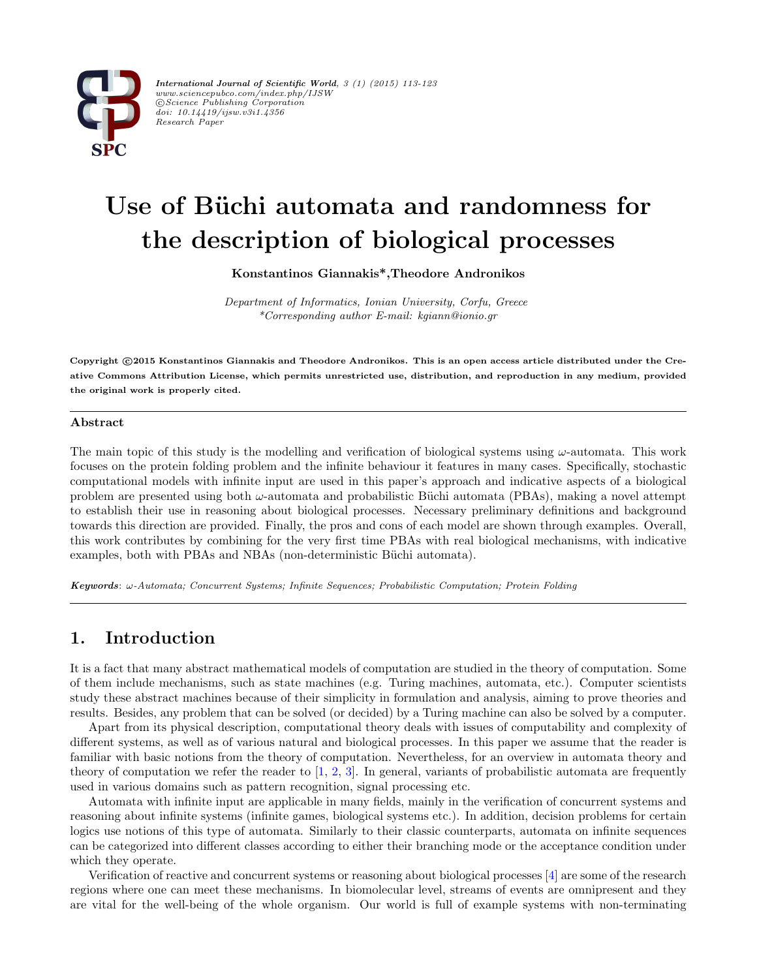

*International Journal of Scientific World, 3 (1) (2015) 113-123 www.sciencepubco.com/index.php/IJSW ⃝*c *Science Publishing Corporation doi: 10.14419/ijsw.v3i1.4356 Research Paper*

# Use of Büchi automata and randomness for **the description of biological processes**

**Konstantinos Giannakis\*,Theodore Andronikos**

*Department of Informatics, Ionian University, Corfu, Greece \*Corresponding author E-mail: kgiann@ionio.gr*

**Copyright** *⃝***c 2015 Konstantinos Giannakis and Theodore Andronikos. This is an open access article distributed under the Creative Commons Attribution License, which permits unrestricted use, distribution, and reproduction in any medium, provided the original work is properly cited.**

#### **Abstract**

The main topic of this study is the modelling and verification of biological systems using *ω*-automata. This work focuses on the protein folding problem and the infinite behaviour it features in many cases. Specifically, stochastic computational models with infinite input are used in this paper's approach and indicative aspects of a biological problem are presented using both *ω*-automata and probabilistic B¨uchi automata (PBAs), making a novel attempt to establish their use in reasoning about biological processes. Necessary preliminary definitions and background towards this direction are provided. Finally, the pros and cons of each model are shown through examples. Overall, this work contributes by combining for the very first time PBAs with real biological mechanisms, with indicative examples, both with PBAs and NBAs (non-deterministic Büchi automata).

*Keywords*: *ω-Automata; Concurrent Systems; Infinite Sequences; Probabilistic Computation; Protein Folding*

# **1. Introduction**

It is a fact that many abstract mathematical models of computation are studied in the theory of computation. Some of them include mechanisms, such as state machines (e.g. Turing machines, automata, etc.). Computer scientists study these abstract machines because of their simplicity in formulation and analysis, aiming to prove theories and results. Besides, any problem that can be solved (or decided) by a Turing machine can also be solved by a computer.

Apart from its physical description, computational theory deals with issues of computability and complexity of different systems, as well as of various natural and biological processes. In this paper we assume that the reader is familiar with basic notions from the theory of computation. Nevertheless, for an overview in automata theory and theory of computation we refer the reader to  $[1, 2, 3]$  $[1, 2, 3]$  $[1, 2, 3]$  $[1, 2, 3]$  $[1, 2, 3]$  $[1, 2, 3]$ . In general, variants of probabilistic automata are frequently used in various domains such as pattern recognition, signal processing etc.

Automata with infinite input are applicable in many fields, mainly in the verification of concurrent systems and reasoning about infinite systems (infinite games, biological systems etc.). In addition, decision problems for certain logics use notions of this type of automata. Similarly to their classic counterparts, automata on infinite sequences can be categorized into different classes according to either their branching mode or the acceptance condition under which they operate.

Verification of reactive and concurrent systems or reasoning about biological processes [[4\]](#page-8-2) are some of the research regions where one can meet these mechanisms. In biomolecular level, streams of events are omnipresent and they are vital for the well-being of the whole organism. Our world is full of example systems with non-terminating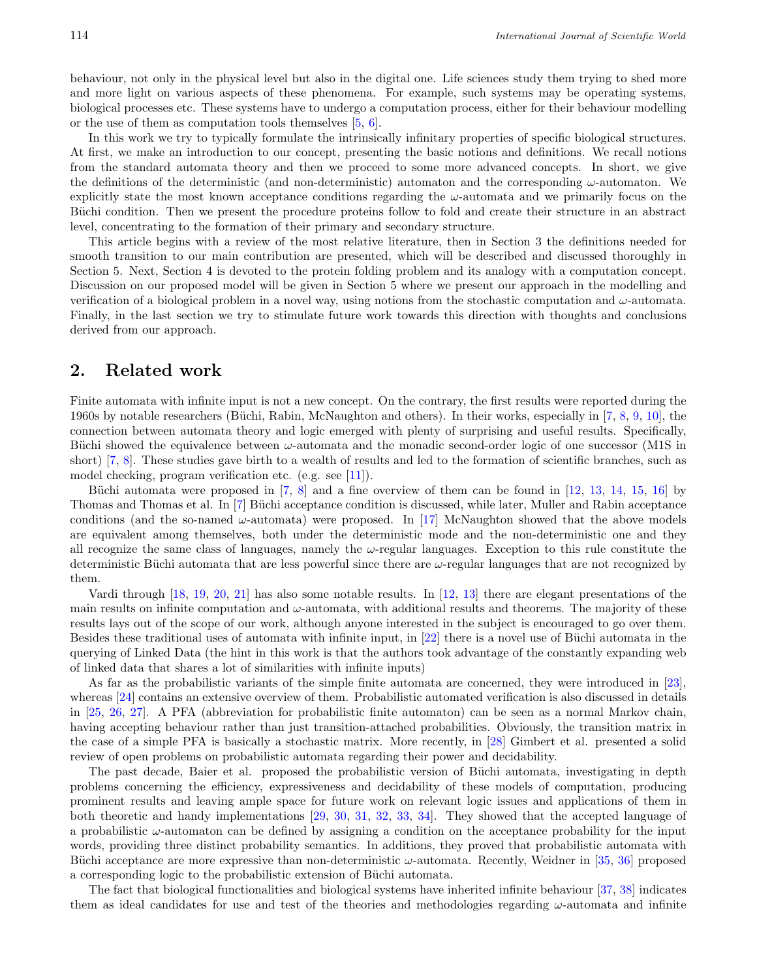behaviour, not only in the physical level but also in the digital one. Life sciences study them trying to shed more and more light on various aspects of these phenomena. For example, such systems may be operating systems, biological processes etc. These systems have to undergo a computation process, either for their behaviour modelling or the use of them as computation tools themselves [\[5](#page-8-3), [6](#page-8-4)].

In this work we try to typically formulate the intrinsically infinitary properties of specific biological structures. At first, we make an introduction to our concept, presenting the basic notions and definitions. We recall notions from the standard automata theory and then we proceed to some more advanced concepts. In short, we give the definitions of the deterministic (and non-deterministic) automaton and the corresponding *ω*-automaton. We explicitly state the most known acceptance conditions regarding the *ω*-automata and we primarily focus on the Büchi condition. Then we present the procedure proteins follow to fold and create their structure in an abstract level, concentrating to the formation of their primary and secondary structure.

This article begins with a review of the most relative literature, then in Section 3 the definitions needed for smooth transition to our main contribution are presented, which will be described and discussed thoroughly in Section 5. Next, Section 4 is devoted to the protein folding problem and its analogy with a computation concept. Discussion on our proposed model will be given in Section 5 where we present our approach in the modelling and verification of a biological problem in a novel way, using notions from the stochastic computation and *ω*-automata. Finally, in the last section we try to stimulate future work towards this direction with thoughts and conclusions derived from our approach.

#### **2. Related work**

Finite automata with infinite input is not a new concept. On the contrary, the first results were reported during the 1[9](#page-8-5)60s by notable researchers (Büchi, Rabin, McNaughton and others). In their works, especially in [7, 8, 9, [10\]](#page-8-6), the connection between automata theory and logic emerged with plenty of surprising and useful results. Specifically, Büchi showed the equivalence between *ω*-automata and the monadic second-order logic of one successor (M1S in short) [7, 8]. These studies gave birth to a wealth of results and led to the formation of scientific branches, such as model checking, program verification etc. (e.g. see [[11\]](#page-8-7)).

Büchi automata were proposed in  $[7, 8]$  and a fine overview of them can be found in  $[12, 13, 14, 15, 16]$  $[12, 13, 14, 15, 16]$  $[12, 13, 14, 15, 16]$  $[12, 13, 14, 15, 16]$  $[12, 13, 14, 15, 16]$  $[12, 13, 14, 15, 16]$  $[12, 13, 14, 15, 16]$  $[12, 13, 14, 15, 16]$  $[12, 13, 14, 15, 16]$  $[12, 13, 14, 15, 16]$  by Thomas and Thomas et al. In [7] Büchi acceptance condition is discussed, while later, Muller and Rabin acceptance conditions (and the so-named  $\omega$ -automata) were proposed. In [\[17](#page-8-13)] McNaughton showed that the above models are equivalent among themselves, both under the deterministic mode and the non-deterministic one and they all recognize the same class of languages, namely the *ω*-regular languages. Exception to this rule constitute the deterministic Büchi automata that are less powerful since there are  $\omega$ -regular languages that are not recognized by them.

Vardi through [[18](#page-8-14), [19](#page-8-15), [20,](#page-8-16) [21](#page-8-17)] has also some notable results. In [\[12](#page-8-8), [13\]](#page-8-9) there are elegant presentations of the main results on infinite computation and  $\omega$ -automata, with additional results and theorems. The majority of these results lays out of the scope of our work, although anyone interested in the subject is encouraged to go over them. Besides these traditional uses of automata with infinite input, in  $[22]$  $[22]$  there is a novel use of Büchi automata in the querying of Linked Data (the hint in this work is that the authors took advantage of the constantly expanding web of linked data that shares a lot of similarities with infinite inputs)

As far as the probabilistic variants of the simple finite automata are concerned, they were introduced in [[23\]](#page-8-19), whereas [[24\]](#page-8-20) contains an extensive overview of them. Probabilistic automated verification is also discussed in details in [[25,](#page-8-21) [26,](#page-8-22) [27](#page-8-23)]. A PFA (abbreviation for probabilistic finite automaton) can be seen as a normal Markov chain, having accepting behaviour rather than just transition-attached probabilities. Obviously, the transition matrix in the case of a simple PFA is basically a stochastic matrix. More recently, in [\[28](#page-9-0)] Gimbert et al. presented a solid review of open problems on probabilistic automata regarding their power and decidability.

The past decade, Baier et al. proposed the probabilistic version of Büchi automata, investigating in depth problems concerning the efficiency, expressiveness and decidability of these models of computation, producing prominent results and leaving ample space for future work on relevant logic issues and applications of them in both theoretic and handy implementations [\[29](#page-9-1), [30](#page-9-2), [31](#page-9-3), [32](#page-9-4), [33](#page-9-5), [34](#page-9-6)]. They showed that the accepted language of a probabilistic *ω*-automaton can be defined by assigning a condition on the acceptance probability for the input words, providing three distinct probability semantics. In additions, they proved that probabilistic automata with Büchi acceptance are more expressive than non-deterministic *ω*-automata. Recently, Weidner in [[35,](#page-9-7) [36\]](#page-9-8) proposed a corresponding logic to the probabilistic extension of Büchi automata.

The fact that biological functionalities and biological systems have inherited infinite behaviour [[37,](#page-9-9) [38](#page-9-10)] indicates them as ideal candidates for use and test of the theories and methodologies regarding *ω*-automata and infinite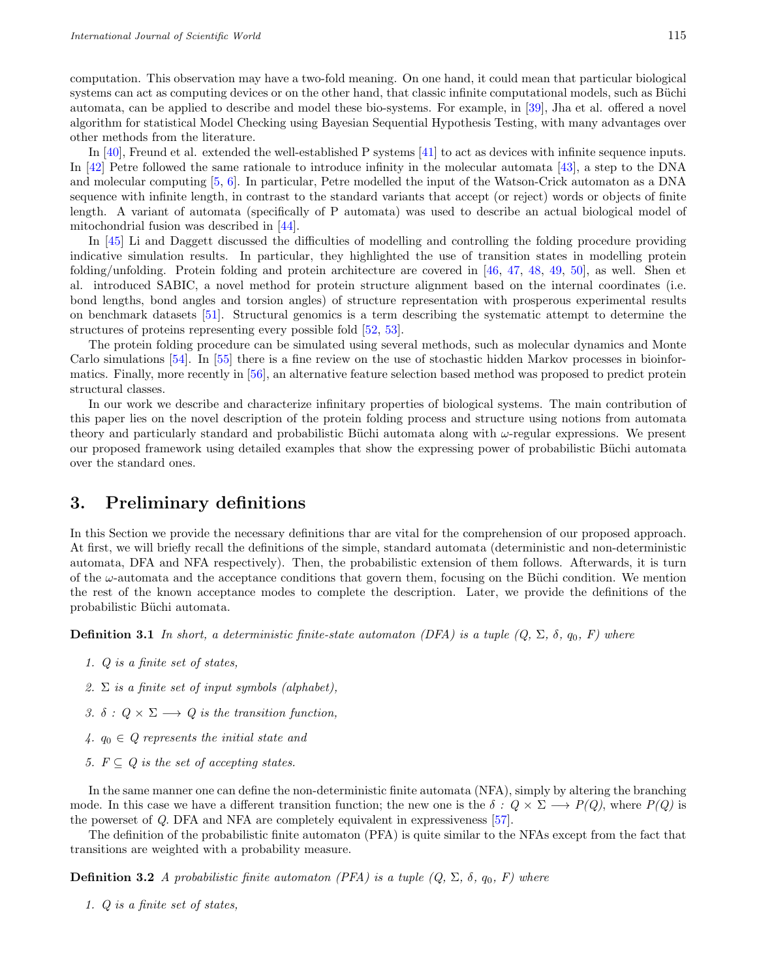computation. This observation may have a two-fold meaning. On one hand, it could mean that particular biological systems can act as computing devices or on the other hand, that classic infinite computational models, such as Büchi automata, can be applied to describe and model these bio-systems. For example, in [[39\]](#page-9-11), Jha et al. offered a novel algorithm for statistical Model Checking using Bayesian Sequential Hypothesis Testing, with many advantages over other methods from the literature.

In [\[40](#page-9-12)], Freund et al. extended the well-established P systems [[41](#page-9-13)] to act as devices with infinite sequence inputs. In [\[42](#page-9-14)] Petre followed the same rationale to introduce infinity in the molecular automata [[43\]](#page-9-15), a step to the DNA and molecular computing [[5](#page-8-3), [6\]](#page-8-4). In particular, Petre modelled the input of the Watson-Crick automaton as a DNA sequence with infinite length, in contrast to the standard variants that accept (or reject) words or objects of finite length. A variant of automata (specifically of P automata) was used to describe an actual biological model of mitochondrial fusion was described in [[44](#page-9-16)].

In [[45\]](#page-9-17) Li and Daggett discussed the difficulties of modelling and controlling the folding procedure providing indicative simulation results. In particular, they highlighted the use of transition states in modelling protein folding/unfolding. Protein folding and protein architecture are covered in [[46,](#page-9-18) [47,](#page-9-19) [48,](#page-9-20) [49,](#page-9-21) [50\]](#page-9-22), as well. Shen et al. introduced SABIC, a novel method for protein structure alignment based on the internal coordinates (i.e. bond lengths, bond angles and torsion angles) of structure representation with prosperous experimental results on benchmark datasets [\[51](#page-9-23)]. Structural genomics is a term describing the systematic attempt to determine the structures of proteins representing every possible fold [\[52](#page-9-24), [53](#page-9-25)].

The protein folding procedure can be simulated using several methods, such as molecular dynamics and Monte Carlo simulations [[54](#page-10-0)]. In [[55\]](#page-10-1) there is a fine review on the use of stochastic hidden Markov processes in bioinformatics. Finally, more recently in [[56\]](#page-10-2), an alternative feature selection based method was proposed to predict protein structural classes.

In our work we describe and characterize infinitary properties of biological systems. The main contribution of this paper lies on the novel description of the protein folding process and structure using notions from automata theory and particularly standard and probabilistic Büchi automata along with *ω*-regular expressions. We present our proposed framework using detailed examples that show the expressing power of probabilistic Büchi automata over the standard ones.

# **3. Preliminary definitions**

In this Section we provide the necessary definitions thar are vital for the comprehension of our proposed approach. At first, we will briefly recall the definitions of the simple, standard automata (deterministic and non-deterministic automata, DFA and NFA respectively). Then, the probabilistic extension of them follows. Afterwards, it is turn of the *ω*-automata and the acceptance conditions that govern them, focusing on the Büchi condition. We mention the rest of the known acceptance modes to complete the description. Later, we provide the definitions of the probabilistic Büchi automata.

**Definition 3.1** *In short, a deterministic finite-state automaton (DFA) is a tuple*  $(Q, \Sigma, \delta, q_0, F)$  *where* 

- *1. Q is a finite set of states,*
- *2.* Σ *is a finite set of input symbols (alphabet),*
- *3.*  $\delta$  :  $Q \times \Sigma \longrightarrow Q$  *is the transition function,*
- *4. q*<sup>0</sup> *∈ Q represents the initial state and*
- *5.*  $F ⊂ Q$  *is the set of accepting states.*

In the same manner one can define the non-deterministic finite automata (NFA), simply by altering the branching mode. In this case we have a different transition function; the new one is the  $\delta$  *: Q*  $\times$   $\Sigma$   $\longrightarrow$  *P(Q)*, where *P(Q)* is the powerset of *Q*. DFA and NFA are completely equivalent in expressiveness [[57](#page-10-3)].

The definition of the probabilistic finite automaton (PFA) is quite similar to the NFAs except from the fact that transitions are weighted with a probability measure.

**Definition 3.2** *A probabilistic finite automaton (PFA) is a tuple*  $(Q, \Sigma, \delta, q_0, F)$  *where* 

*1. Q is a finite set of states,*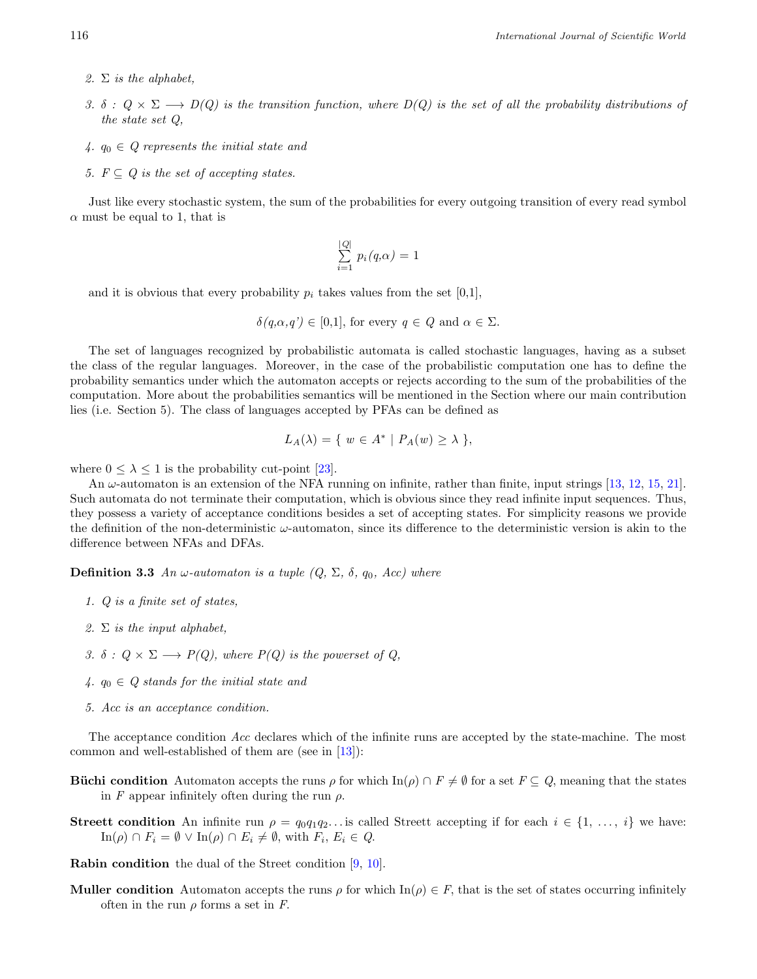- *2.* Σ *is the alphabet,*
- *3. δ :*  $Q \times Σ$  →  $D(Q)$  is the transition function, where  $D(Q)$  is the set of all the probability distributions of *the state set Q,*
- *4. q*<sup>0</sup> *∈ Q represents the initial state and*
- 5.  $F \subseteq Q$  *is the set of accepting states.*

Just like every stochastic system, the sum of the probabilities for every outgoing transition of every read symbol  $\alpha$  must be equal to 1, that is

$$
\sum_{i=1}^{|Q|} p_i(q,\alpha) = 1
$$

and it is obvious that every probability  $p_i$  takes values from the set  $[0,1]$ ,

$$
\delta(q,\alpha,q') \in [0,1]
$$
, for every  $q \in Q$  and  $\alpha \in \Sigma$ .

The set of languages recognized by probabilistic automata is called stochastic languages, having as a subset the class of the regular languages. Moreover, in the case of the probabilistic computation one has to define the probability semantics under which the automaton accepts or rejects according to the sum of the probabilities of the computation. More about the probabilities semantics will be mentioned in the Section where our main contribution lies (i.e. Section 5). The class of languages accepted by PFAs can be defined as

$$
L_A(\lambda) = \{ w \in A^* \mid P_A(w) \ge \lambda \},
$$

where  $0 \leq \lambda \leq 1$  is the probability cut-point [\[23](#page-8-19)].

An *ω*-automaton is an extension of the NFA running on infinite, rather than finite, input strings [[13,](#page-8-9) [12](#page-8-8), [15](#page-8-11), [21\]](#page-8-17). Such automata do not terminate their computation, which is obvious since they read infinite input sequences. Thus, they possess a variety of acceptance conditions besides a set of accepting states. For simplicity reasons we provide the definition of the non-deterministic *ω*-automaton, since its difference to the deterministic version is akin to the difference between NFAs and DFAs.

**Definition 3.3** *An*  $\omega$ -automaton is a tuple  $(Q, \Sigma, \delta, q_0, Acc)$  where

- *1. Q is a finite set of states,*
- *2.* Σ *is the input alphabet,*
- *3.*  $\delta$  *:*  $Q \times \Sigma \longrightarrow P(Q)$ , where  $P(Q)$  is the powerset of Q,
- *4. q*<sup>0</sup> *∈ Q stands for the initial state and*
- *5. Acc is an acceptance condition.*

The acceptance condition *Acc* declares which of the infinite runs are accepted by the state-machine. The most common and well-established of them are (see in [[13\]](#page-8-9)):

- **Büchi condition** Automaton accepts the runs  $\rho$  for which In( $\rho$ )  $\cap$   $F \neq \emptyset$  for a set  $F \subseteq Q$ , meaning that the states in *F* appear infinitely often during the run  $\rho$ .
- **Streett condition** An infinite run  $\rho = q_0 q_1 q_2$ ... is called Streett accepting if for each  $i \in \{1, \ldots, i\}$  we have:  $\text{In}(\rho) \cap F_i = \emptyset \lor \text{In}(\rho) \cap E_i \neq \emptyset$ , with  $F_i, E_i \in Q$ .

**Rabin condition** the dual of the Street condition [[9,](#page-8-5) [10\]](#page-8-6).

**Muller condition** Automaton accepts the runs  $\rho$  for which  $\text{In}(\rho) \in F$ , that is the set of states occurring infinitely often in the run  $\rho$  forms a set in *F*.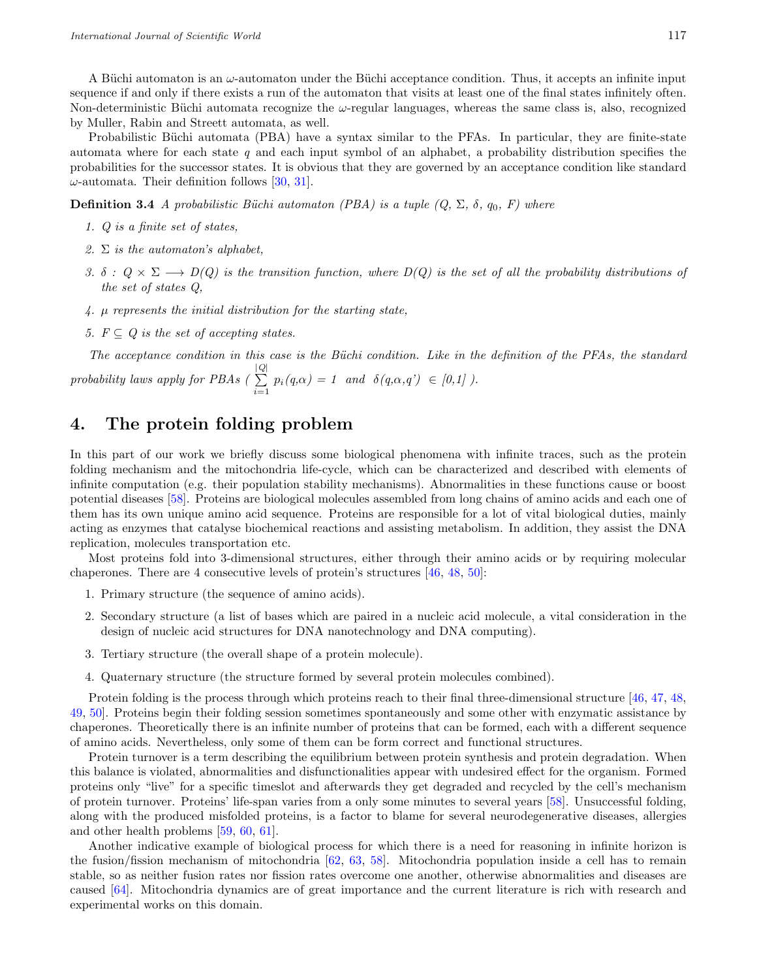A Büchi automaton is an *ω*-automaton under the Büchi acceptance condition. Thus, it accepts an infinite input sequence if and only if there exists a run of the automaton that visits at least one of the final states infinitely often. Non-deterministic B¨uchi automata recognize the *ω*-regular languages, whereas the same class is, also, recognized by Muller, Rabin and Streett automata, as well.

Probabilistic Büchi automata (PBA) have a syntax similar to the PFAs. In particular, they are finite-state automata where for each state *q* and each input symbol of an alphabet, a probability distribution specifies the probabilities for the successor states. It is obvious that they are governed by an acceptance condition like standard *ω*-automata. Their definition follows [\[30](#page-9-2), [31](#page-9-3)].

**Definition 3.4** *A probabilistic Büchi automaton (PBA) is a tuple*  $(Q, \Sigma, \delta, q_0, F)$  *where* 

- *1. Q is a finite set of states,*
- *2.* Σ *is the automaton's alphabet,*
- *3.*  $\delta$  :  $Q \times \Sigma \longrightarrow D(Q)$  is the transition function, where  $D(Q)$  is the set of all the probability distributions of *the set of states Q,*
- *4. µ represents the initial distribution for the starting state,*
- *5.*  $F \subseteq Q$  *is the set of accepting states.*

*The acceptance condition in this case is the B¨uchi condition. Like in the definition of the PFAs, the standard*  $p$ *robability laws apply for PBAs (* $\sum_{i=1}^{|Q|}$  $\sum_{i=1}^{\infty} p_i(q,\alpha) = 1$  and  $\delta(q,\alpha,q') \in [0,1]$ ).

## **4. The protein folding problem**

In this part of our work we briefly discuss some biological phenomena with infinite traces, such as the protein folding mechanism and the mitochondria life-cycle, which can be characterized and described with elements of infinite computation (e.g. their population stability mechanisms). Abnormalities in these functions cause or boost potential diseases [\[58](#page-10-4)]. Proteins are biological molecules assembled from long chains of amino acids and each one of them has its own unique amino acid sequence. Proteins are responsible for a lot of vital biological duties, mainly acting as enzymes that catalyse biochemical reactions and assisting metabolism. In addition, they assist the DNA replication, molecules transportation etc.

Most proteins fold into 3-dimensional structures, either through their amino acids or by requiring molecular chaperones. There are 4 consecutive levels of protein's structures [\[46](#page-9-18), [48](#page-9-20), [50](#page-9-22)]:

- 1. Primary structure (the sequence of amino acids).
- 2. Secondary structure (a list of bases which are paired in a nucleic acid molecule, a vital consideration in the design of nucleic acid structures for DNA nanotechnology and DNA computing).
- 3. Tertiary structure (the overall shape of a protein molecule).
- 4. Quaternary structure (the structure formed by several protein molecules combined).

Protein folding is the process through which proteins reach to their final three-dimensional structure [[46](#page-9-18), [47,](#page-9-19) [48,](#page-9-20) [49,](#page-9-21) [50](#page-9-22)]. Proteins begin their folding session sometimes spontaneously and some other with enzymatic assistance by chaperones. Theoretically there is an infinite number of proteins that can be formed, each with a different sequence of amino acids. Nevertheless, only some of them can be form correct and functional structures.

Protein turnover is a term describing the equilibrium between protein synthesis and protein degradation. When this balance is violated, abnormalities and disfunctionalities appear with undesired effect for the organism. Formed proteins only "live" for a specific timeslot and afterwards they get degraded and recycled by the cell's mechanism of protein turnover. Proteins' life-span varies from a only some minutes to several years [[58\]](#page-10-4). Unsuccessful folding, along with the produced misfolded proteins, is a factor to blame for several neurodegenerative diseases, allergies and other health problems [[59,](#page-10-5) [60](#page-10-6), [61](#page-10-7)].

Another indicative example of biological process for which there is a need for reasoning in infinite horizon is the fusion/fission mechanism of mitochondria [[62,](#page-10-8) [63,](#page-10-9) [58\]](#page-10-4). Mitochondria population inside a cell has to remain stable, so as neither fusion rates nor fission rates overcome one another, otherwise abnormalities and diseases are caused [\[64](#page-10-10)]. Mitochondria dynamics are of great importance and the current literature is rich with research and experimental works on this domain.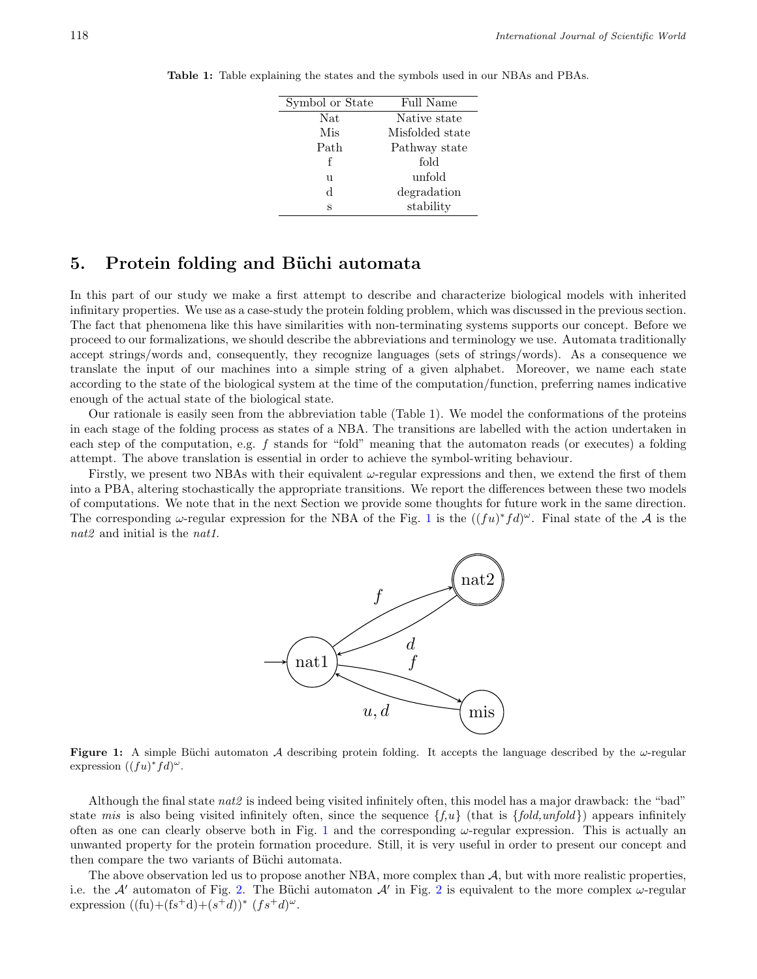| Symbol or State | Full Name       |
|-----------------|-----------------|
| Nat             | Native state    |
| Mis             | Misfolded state |
| Path            | Pathway state   |
| f               | fold            |
| u               | unfold          |
| d.              | degradation     |
| S               | stability       |

**Table 1:** Table explaining the states and the symbols used in our NBAs and PBAs.

# **5.** Protein folding and Büchi automata

In this part of our study we make a first attempt to describe and characterize biological models with inherited infinitary properties. We use as a case-study the protein folding problem, which was discussed in the previous section. The fact that phenomena like this have similarities with non-terminating systems supports our concept. Before we proceed to our formalizations, we should describe the abbreviations and terminology we use. Automata traditionally accept strings/words and, consequently, they recognize languages (sets of strings/words). As a consequence we translate the input of our machines into a simple string of a given alphabet. Moreover, we name each state according to the state of the biological system at the time of the computation/function, preferring names indicative enough of the actual state of the biological state.

Our rationale is easily seen from the abbreviation table (Table 1). We model the conformations of the proteins in each stage of the folding process as states of a NBA. The transitions are labelled with the action undertaken in each step of the computation, e.g. *f* stands for "fold" meaning that the automaton reads (or executes) a folding attempt. The above translation is essential in order to achieve the symbol-writing behaviour.

<span id="page-5-0"></span>Firstly, we present two NBAs with their equivalent *ω*-regular expressions and then, we extend the first of them into a PBA, altering stochastically the appropriate transitions. We report the differences between these two models of computations. We note that in the next Section we provide some thoughts for future work in the same direction. The corresponding  $\omega$ -regular expression for the NBA of the Fig. [1](#page-5-0) is the  $((fu)^*fd)^{\omega}$ . Final state of the *A* is the *nat2* and initial is the *nat1*.



**Figure 1:** A simple Büchi automaton *A* describing protein folding. It accepts the language described by the  $\omega$ -regular expression  $((fu)^*fd)^\omega$ .

Although the final state *nat2* is indeed being visited infinitely often, this model has a major drawback: the "bad" state *mis* is also being visited infinitely often, since the sequence *{f,u}* (that is *{fold,unfold}*) appears infinitely often as one can clearly observe both in Fig. [1](#page-5-0) and the corresponding  $\omega$ -regular expression. This is actually an unwanted property for the protein formation procedure. Still, it is very useful in order to present our concept and then compare the two variants of Büchi automata.

The above observation led us to propose another NBA, more complex than *A*, but with more realistic properties, i.e. the *A*<sup>*'*</sup> automaton of Fig. [2.](#page-6-0) The Büchi automaton *A'* in Fig. [2](#page-6-0) is equivalent to the more complex  $\omega$ -regular expression  $((\text{fu})+(\text{fs}^+\text{d})+(\text{s}^+\text{d}))^*$   $(f\text{s}^+\text{d})^{\omega}$ .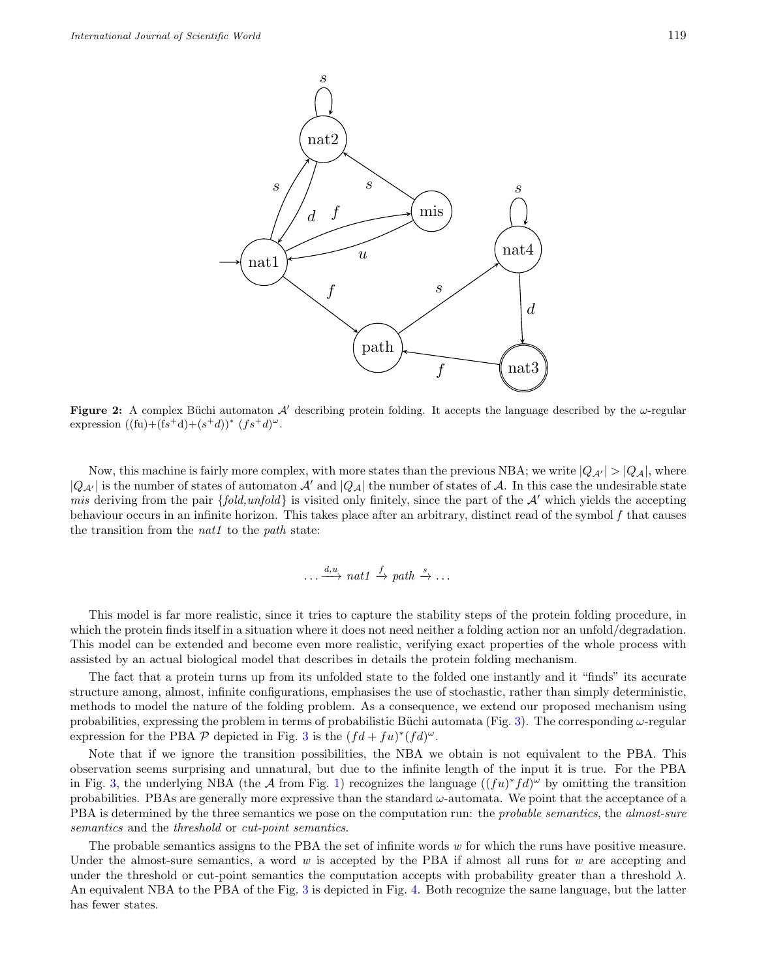<span id="page-6-0"></span>

**Figure 2:** A complex Büchi automaton  $\mathcal{A}'$  describing protein folding. It accepts the language described by the  $\omega$ -regular expression  $((\text{fu})+(\text{fs}^+\text{d})+(\text{s}^+\text{d}))^*$   $(f\text{s}^+\text{d})^{\omega}$ .

Now, this machine is fairly more complex, with more states than the previous NBA; we write  $|Q_{\mathcal{A}'}| > |Q_{\mathcal{A}}|$ , where  $|Q_{\mathcal{A}}|$  is the number of states of automaton  $\mathcal{A}'$  and  $|Q_{\mathcal{A}}|$  the number of states of  $\mathcal{A}$ . In this case the undesirable state *mis* deriving from the pair *{fold,unfold}* is visited only finitely, since the part of the *A′* which yields the accepting behaviour occurs in an infinite horizon. This takes place after an arbitrary, distinct read of the symbol *f* that causes the transition from the *nat1* to the *path* state:

$$
\dots \xrightarrow{d,u} nat1 \xrightarrow{f} path \xrightarrow{s} \dots
$$

This model is far more realistic, since it tries to capture the stability steps of the protein folding procedure, in which the protein finds itself in a situation where it does not need neither a folding action nor an unfold/degradation. This model can be extended and become even more realistic, verifying exact properties of the whole process with assisted by an actual biological model that describes in details the protein folding mechanism.

The fact that a protein turns up from its unfolded state to the folded one instantly and it "finds" its accurate structure among, almost, infinite configurations, emphasises the use of stochastic, rather than simply deterministic, methods to model the nature of the folding problem. As a consequence, we extend our proposed mechanism using probabilities, expressing the problem in terms of probabilistic Büchi automata (Fig. [3](#page-7-1)). The corresponding  $\omega$ -regular expression for the PBA  $\mathcal P$  depicted in Fig. [3](#page-7-1) is the  $(fd + fu)^*(fd)^{\omega}$ .

Note that if we ignore the transition possibilities, the NBA we obtain is not equivalent to the PBA. This observation seems surprising and unnatural, but due to the infinite length of the input it is true. For the PBA in Fig. [3](#page-7-1), the underlying NBA (the A from Fig. [1](#page-5-0)) recognizes the language  $((fu)^*fd)^\omega$  by omitting the transition probabilities. PBAs are generally more expressive than the standard *ω*-automata. We point that the acceptance of a PBA is determined by the three semantics we pose on the computation run: the *probable semantics*, the *almost-sure semantics* and the *threshold* or *cut-point semantics*.

The probable semantics assigns to the PBA the set of infinite words *w* for which the runs have positive measure. Under the almost-sure semantics, a word *w* is accepted by the PBA if almost all runs for *w* are accepting and under the threshold or cut-point semantics the computation accepts with probability greater than a threshold *λ*. An equivalent NBA to the PBA of the Fig. [3](#page-7-1) is depicted in Fig. [4.](#page-7-2) Both recognize the same language, but the latter has fewer states.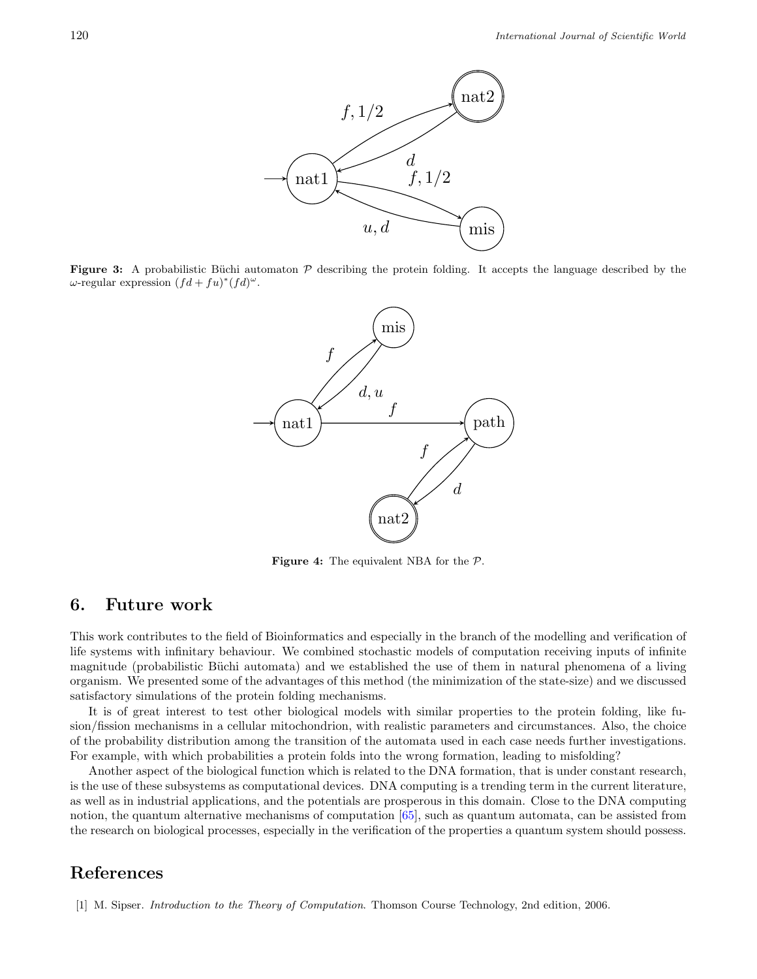<span id="page-7-1"></span>

<span id="page-7-2"></span>**Figure 3:** A probabilistic Büchi automaton  $P$  describing the protein folding. It accepts the language described by the  $\omega$ -regular expression  $(fd + fu)^*(fd)^{\omega}$ .



**Figure 4:** The equivalent NBA for the *P*.

#### **6. Future work**

This work contributes to the field of Bioinformatics and especially in the branch of the modelling and verification of life systems with infinitary behaviour. We combined stochastic models of computation receiving inputs of infinite magnitude (probabilistic Büchi automata) and we established the use of them in natural phenomena of a living organism. We presented some of the advantages of this method (the minimization of the state-size) and we discussed satisfactory simulations of the protein folding mechanisms.

It is of great interest to test other biological models with similar properties to the protein folding, like fusion/fission mechanisms in a cellular mitochondrion, with realistic parameters and circumstances. Also, the choice of the probability distribution among the transition of the automata used in each case needs further investigations. For example, with which probabilities a protein folds into the wrong formation, leading to misfolding?

Another aspect of the biological function which is related to the DNA formation, that is under constant research, is the use of these subsystems as computational devices. DNA computing is a trending term in the current literature, as well as in industrial applications, and the potentials are prosperous in this domain. Close to the DNA computing notion, the quantum alternative mechanisms of computation [[65](#page-10-11)], such as quantum automata, can be assisted from the research on biological processes, especially in the verification of the properties a quantum system should possess.

## **References**

<span id="page-7-0"></span>[1] M. Sipser. *Introduction to the Theory of Computation*. Thomson Course Technology, 2nd edition, 2006.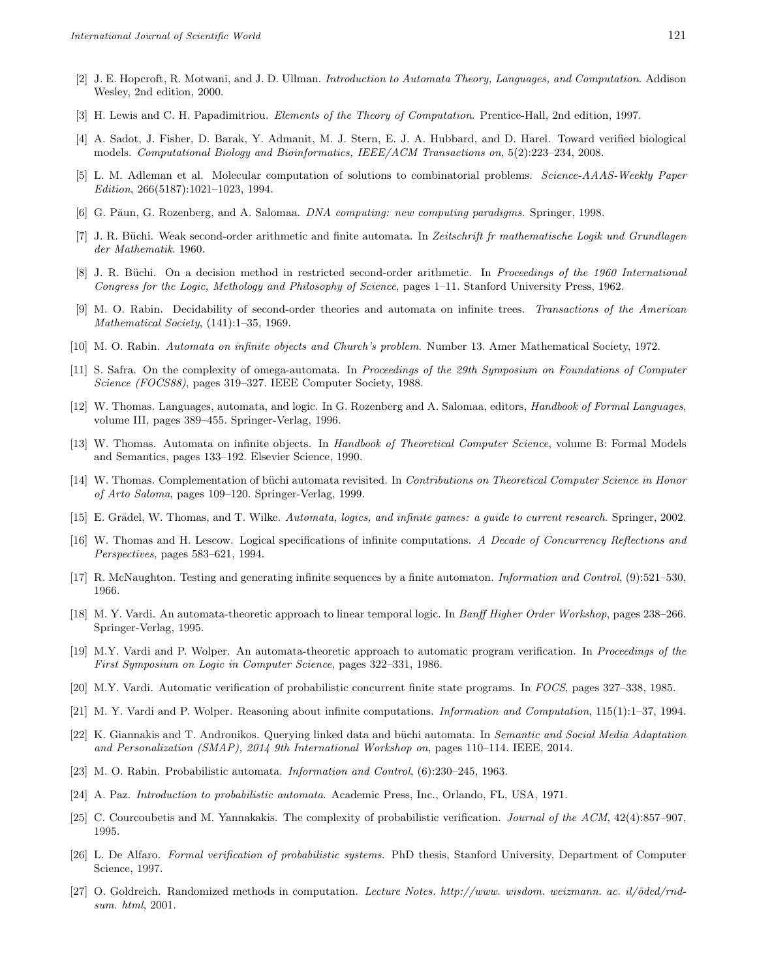- <span id="page-8-0"></span>[2] J. E. Hopcroft, R. Motwani, and J. D. Ullman. *Introduction to Automata Theory, Languages, and Computation*. Addison Wesley, 2nd edition, 2000.
- <span id="page-8-1"></span>[3] H. Lewis and C. H. Papadimitriou. *Elements of the Theory of Computation*. Prentice-Hall, 2nd edition, 1997.
- <span id="page-8-2"></span>[4] A. Sadot, J. Fisher, D. Barak, Y. Admanit, M. J. Stern, E. J. A. Hubbard, and D. Harel. Toward verified biological models. *Computational Biology and Bioinformatics, IEEE/ACM Transactions on*, 5(2):223–234, 2008.
- <span id="page-8-3"></span>[5] L. M. Adleman et al. Molecular computation of solutions to combinatorial problems. *Science-AAAS-Weekly Paper Edition*, 266(5187):1021–1023, 1994.
- <span id="page-8-4"></span>[6] G. P˘aun, G. Rozenberg, and A. Salomaa. *DNA computing: new computing paradigms*. Springer, 1998.
- [7] J. R. B¨uchi. Weak second-order arithmetic and finite automata. In *Zeitschrift fr mathematische Logik und Grundlagen der Mathematik*. 1960.
- [8] J. R. B¨uchi. On a decision method in restricted second-order arithmetic. In *Proceedings of the 1960 International Congress for the Logic, Methology and Philosophy of Science*, pages 1–11. Stanford University Press, 1962.
- <span id="page-8-5"></span>[9] M. O. Rabin. Decidability of second-order theories and automata on infinite trees. *Transactions of the American Mathematical Society*, (141):1–35, 1969.
- <span id="page-8-6"></span>[10] M. O. Rabin. *Automata on infinite objects and Church's problem*. Number 13. Amer Mathematical Society, 1972.
- <span id="page-8-7"></span>[11] S. Safra. On the complexity of omega-automata. In *Proceedings of the 29th Symposium on Foundations of Computer Science (FOCS88)*, pages 319–327. IEEE Computer Society, 1988.
- <span id="page-8-8"></span>[12] W. Thomas. Languages, automata, and logic. In G. Rozenberg and A. Salomaa, editors, *Handbook of Formal Languages*, volume III, pages 389–455. Springer-Verlag, 1996.
- <span id="page-8-9"></span>[13] W. Thomas. Automata on infinite objects. In *Handbook of Theoretical Computer Science*, volume B: Formal Models and Semantics, pages 133–192. Elsevier Science, 1990.
- <span id="page-8-10"></span>[14] W. Thomas. Complementation of büchi automata revisited. In *Contributions on Theoretical Computer Science in Honor of Arto Saloma*, pages 109–120. Springer-Verlag, 1999.
- <span id="page-8-11"></span>[15] E. Grädel, W. Thomas, and T. Wilke. *Automata, logics, and infinite games: a guide to current research*. Springer, 2002.
- <span id="page-8-12"></span>[16] W. Thomas and H. Lescow. Logical specifications of infinite computations. *A Decade of Concurrency Reflections and Perspectives*, pages 583–621, 1994.
- <span id="page-8-13"></span>[17] R. McNaughton. Testing and generating infinite sequences by a finite automaton. *Information and Control*, (9):521–530, 1966.
- <span id="page-8-14"></span>[18] M. Y. Vardi. An automata-theoretic approach to linear temporal logic. In *Banff Higher Order Workshop*, pages 238–266. Springer-Verlag, 1995.
- <span id="page-8-15"></span>[19] M.Y. Vardi and P. Wolper. An automata-theoretic approach to automatic program verification. In *Proceedings of the First Symposium on Logic in Computer Science*, pages 322–331, 1986.
- <span id="page-8-16"></span>[20] M.Y. Vardi. Automatic verification of probabilistic concurrent finite state programs. In *FOCS*, pages 327–338, 1985.
- <span id="page-8-17"></span>[21] M. Y. Vardi and P. Wolper. Reasoning about infinite computations. *Information and Computation*, 115(1):1–37, 1994.
- <span id="page-8-18"></span>[22] K. Giannakis and T. Andronikos. Querying linked data and büchi automata. In *Semantic and Social Media Adaptation and Personalization (SMAP), 2014 9th International Workshop on*, pages 110–114. IEEE, 2014.
- <span id="page-8-19"></span>[23] M. O. Rabin. Probabilistic automata. *Information and Control*, (6):230–245, 1963.
- <span id="page-8-20"></span>[24] A. Paz. *Introduction to probabilistic automata*. Academic Press, Inc., Orlando, FL, USA, 1971.
- <span id="page-8-21"></span>[25] C. Courcoubetis and M. Yannakakis. The complexity of probabilistic verification. *Journal of the ACM*, 42(4):857–907, 1995.
- <span id="page-8-22"></span>[26] L. De Alfaro. *Formal verification of probabilistic systems*. PhD thesis, Stanford University, Department of Computer Science, 1997.
- <span id="page-8-23"></span>[27] O. Goldreich. Randomized methods in computation. Lecture Notes. http://www. wisdom. weizmann. ac. il/õded/rnd*sum. html*, 2001.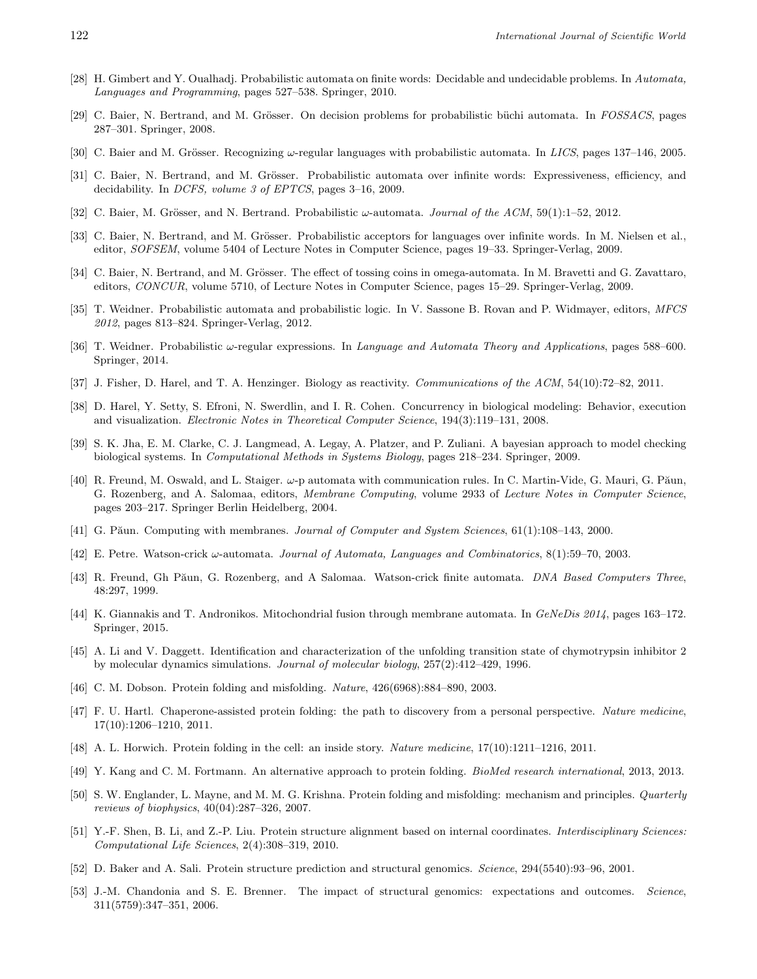- <span id="page-9-0"></span>[28] H. Gimbert and Y. Oualhadj. Probabilistic automata on finite words: Decidable and undecidable problems. In *Automata, Languages and Programming*, pages 527–538. Springer, 2010.
- <span id="page-9-1"></span>[29] C. Baier, N. Bertrand, and M. Grösser. On decision problems for probabilistic büchi automata. In *FOSSACS*, pages 287–301. Springer, 2008.
- <span id="page-9-2"></span>[30] C. Baier and M. Grösser. Recognizing  $\omega$ -regular languages with probabilistic automata. In *LICS*, pages 137–146, 2005.
- <span id="page-9-3"></span>[31] C. Baier, N. Bertrand, and M. Grösser. Probabilistic automata over infinite words: Expressiveness, efficiency, and decidability. In *DCFS, volume 3 of EPTCS*, pages 3–16, 2009.
- <span id="page-9-4"></span>[32] C. Baier, M. Grösser, and N. Bertrand. Probabilistic *ω*-automata. *Journal of the ACM*, 59(1):1–52, 2012.
- <span id="page-9-5"></span>[33] C. Baier, N. Bertrand, and M. Grösser. Probabilistic acceptors for languages over infinite words. In M. Nielsen et al., editor, *SOFSEM*, volume 5404 of Lecture Notes in Computer Science, pages 19–33. Springer-Verlag, 2009.
- <span id="page-9-6"></span>[34] C. Baier, N. Bertrand, and M. Grösser. The effect of tossing coins in omega-automata. In M. Bravetti and G. Zavattaro, editors, *CONCUR*, volume 5710, of Lecture Notes in Computer Science, pages 15–29. Springer-Verlag, 2009.
- <span id="page-9-7"></span>[35] T. Weidner. Probabilistic automata and probabilistic logic. In V. Sassone B. Rovan and P. Widmayer, editors, *MFCS 2012*, pages 813–824. Springer-Verlag, 2012.
- <span id="page-9-8"></span>[36] T. Weidner. Probabilistic *ω*-regular expressions. In *Language and Automata Theory and Applications*, pages 588–600. Springer, 2014.
- <span id="page-9-9"></span>[37] J. Fisher, D. Harel, and T. A. Henzinger. Biology as reactivity. *Communications of the ACM*, 54(10):72–82, 2011.
- <span id="page-9-10"></span>[38] D. Harel, Y. Setty, S. Efroni, N. Swerdlin, and I. R. Cohen. Concurrency in biological modeling: Behavior, execution and visualization. *Electronic Notes in Theoretical Computer Science*, 194(3):119–131, 2008.
- <span id="page-9-11"></span>[39] S. K. Jha, E. M. Clarke, C. J. Langmead, A. Legay, A. Platzer, and P. Zuliani. A bayesian approach to model checking biological systems. In *Computational Methods in Systems Biology*, pages 218–234. Springer, 2009.
- <span id="page-9-12"></span>[40] R. Freund, M. Oswald, and L. Staiger. ω-p automata with communication rules. In C. Martin-Vide, G. Mauri, G. Păun, G. Rozenberg, and A. Salomaa, editors, *Membrane Computing*, volume 2933 of *Lecture Notes in Computer Science*, pages 203–217. Springer Berlin Heidelberg, 2004.
- <span id="page-9-13"></span>[41] G. P $\tilde{a}$ un. Computing with membranes. *Journal of Computer and System Sciences*, 61(1):108–143, 2000.
- <span id="page-9-14"></span>[42] E. Petre. Watson-crick *ω*-automata. *Journal of Automata, Languages and Combinatorics*, 8(1):59–70, 2003.
- <span id="page-9-15"></span>[43] R. Freund, Gh P˘aun, G. Rozenberg, and A Salomaa. Watson-crick finite automata. *DNA Based Computers Three*, 48:297, 1999.
- <span id="page-9-16"></span>[44] K. Giannakis and T. Andronikos. Mitochondrial fusion through membrane automata. In *GeNeDis 2014*, pages 163–172. Springer, 2015.
- <span id="page-9-17"></span>[45] A. Li and V. Daggett. Identification and characterization of the unfolding transition state of chymotrypsin inhibitor 2 by molecular dynamics simulations. *Journal of molecular biology*, 257(2):412–429, 1996.
- <span id="page-9-18"></span>[46] C. M. Dobson. Protein folding and misfolding. *Nature*, 426(6968):884–890, 2003.
- <span id="page-9-19"></span>[47] F. U. Hartl. Chaperone-assisted protein folding: the path to discovery from a personal perspective. *Nature medicine*, 17(10):1206–1210, 2011.
- <span id="page-9-20"></span>[48] A. L. Horwich. Protein folding in the cell: an inside story. *Nature medicine*, 17(10):1211–1216, 2011.
- <span id="page-9-21"></span>[49] Y. Kang and C. M. Fortmann. An alternative approach to protein folding. *BioMed research international*, 2013, 2013.
- <span id="page-9-22"></span>[50] S. W. Englander, L. Mayne, and M. M. G. Krishna. Protein folding and misfolding: mechanism and principles. *Quarterly reviews of biophysics*, 40(04):287–326, 2007.
- <span id="page-9-23"></span>[51] Y.-F. Shen, B. Li, and Z.-P. Liu. Protein structure alignment based on internal coordinates. *Interdisciplinary Sciences: Computational Life Sciences*, 2(4):308–319, 2010.
- <span id="page-9-24"></span>[52] D. Baker and A. Sali. Protein structure prediction and structural genomics. *Science*, 294(5540):93–96, 2001.
- <span id="page-9-25"></span>[53] J.-M. Chandonia and S. E. Brenner. The impact of structural genomics: expectations and outcomes. *Science*, 311(5759):347–351, 2006.